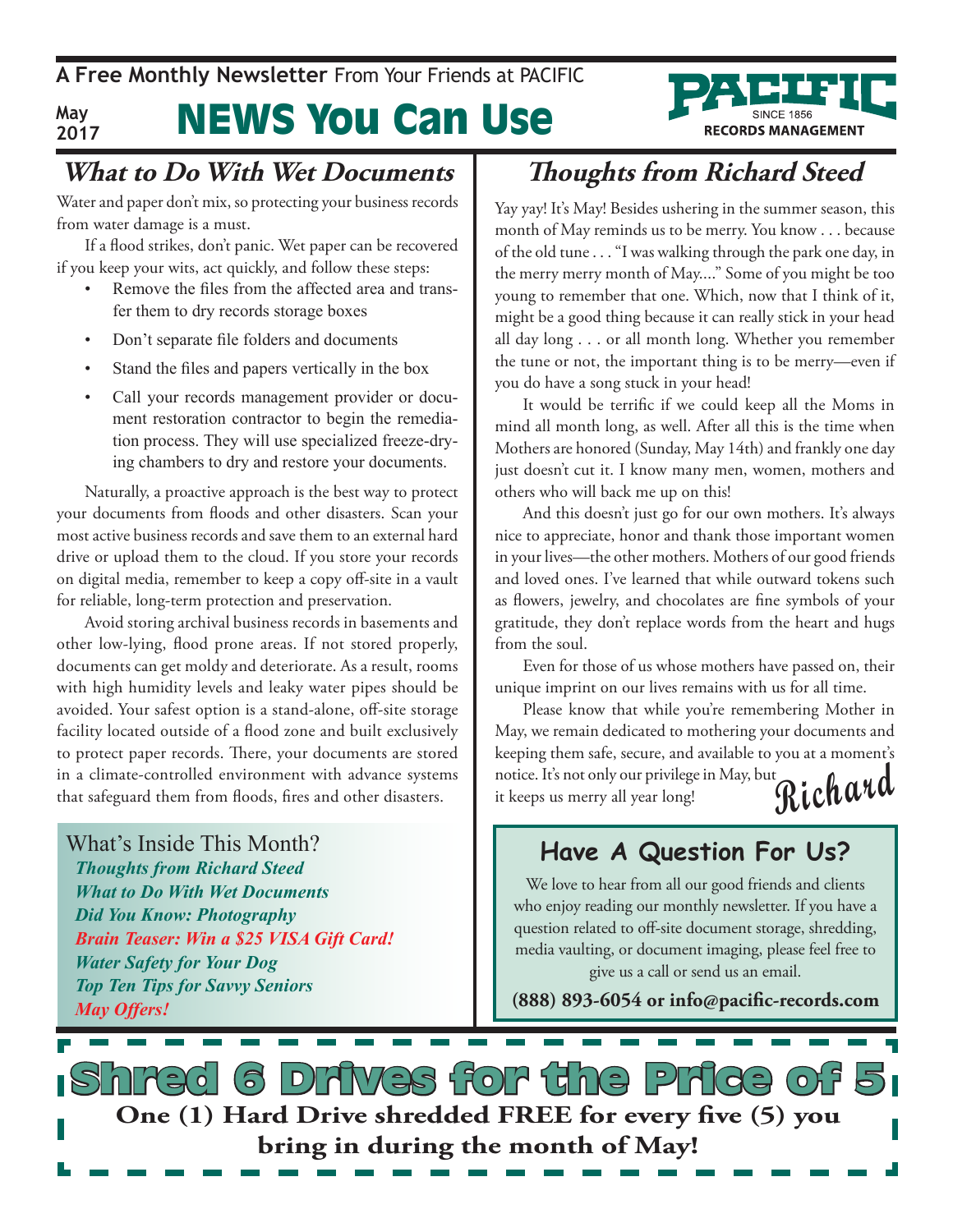#### **May 2017**

# News You Can Use

### **What to Do With Wet Documents**

Water and paper don't mix, so protecting your business records from water damage is a must.

If a flood strikes, don't panic. Wet paper can be recovered if you keep your wits, act quickly, and follow these steps:

- Remove the files from the affected area and transfer them to dry records storage boxes
- Don't separate file folders and documents
- Stand the files and papers vertically in the box
- Call your records management provider or document restoration contractor to begin the remediation process. They will use specialized freeze-drying chambers to dry and restore your documents.

Naturally, a proactive approach is the best way to protect your documents from floods and other disasters. Scan your most active business records and save them to an external hard drive or upload them to the cloud. If you store your records on digital media, remember to keep a copy off-site in a vault for reliable, long-term protection and preservation.

Avoid storing archival business records in basements and other low-lying, flood prone areas. If not stored properly, documents can get moldy and deteriorate. As a result, rooms with high humidity levels and leaky water pipes should be avoided. Your safest option is a stand-alone, off-site storage facility located outside of a flood zone and built exclusively to protect paper records. There, your documents are stored in a climate-controlled environment with advance systems that safeguard them from floods, fires and other disasters.

What's Inside This Month? *Thoughts from Richard Steed What to Do With Wet Documents Did You Know: Photography Brain Teaser: Win a \$25 VISA Gift Card! Water Safety for Your Dog Top Ten Tips for Savvy Seniors May Offers!*

## **Thoughts from Richard Steed**

**RECORDS MANAGEMENT** 

Yay yay! It's May! Besides ushering in the summer season, this month of May reminds us to be merry. You know . . . because of the old tune . . . "I was walking through the park one day, in the merry merry month of May...." Some of you might be too young to remember that one. Which, now that I think of it, might be a good thing because it can really stick in your head all day long . . . or all month long. Whether you remember the tune or not, the important thing is to be merry—even if you do have a song stuck in your head!

It would be terrific if we could keep all the Moms in mind all month long, as well. After all this is the time when Mothers are honored (Sunday, May 14th) and frankly one day just doesn't cut it. I know many men, women, mothers and others who will back me up on this!

And this doesn't just go for our own mothers. It's always nice to appreciate, honor and thank those important women in your lives—the other mothers. Mothers of our good friends and loved ones. I've learned that while outward tokens such as flowers, jewelry, and chocolates are fine symbols of your gratitude, they don't replace words from the heart and hugs from the soul.

Even for those of us whose mothers have passed on, their unique imprint on our lives remains with us for all time.

**Richard** Please know that while you're remembering Mother in May, we remain dedicated to mothering your documents and keeping them safe, secure, and available to you at a moment's notice. It's not only our privilege in May, but it keeps us merry all year long!

### **Have A Question For Us?**

We love to hear from all our good friends and clients who enjoy reading our monthly newsletter. If you have a question related to off-site document storage, shredding, media vaulting, or document imaging, please feel free to give us a call or send us an email.

**(888) 893-6054 or info@pacific-records.com**

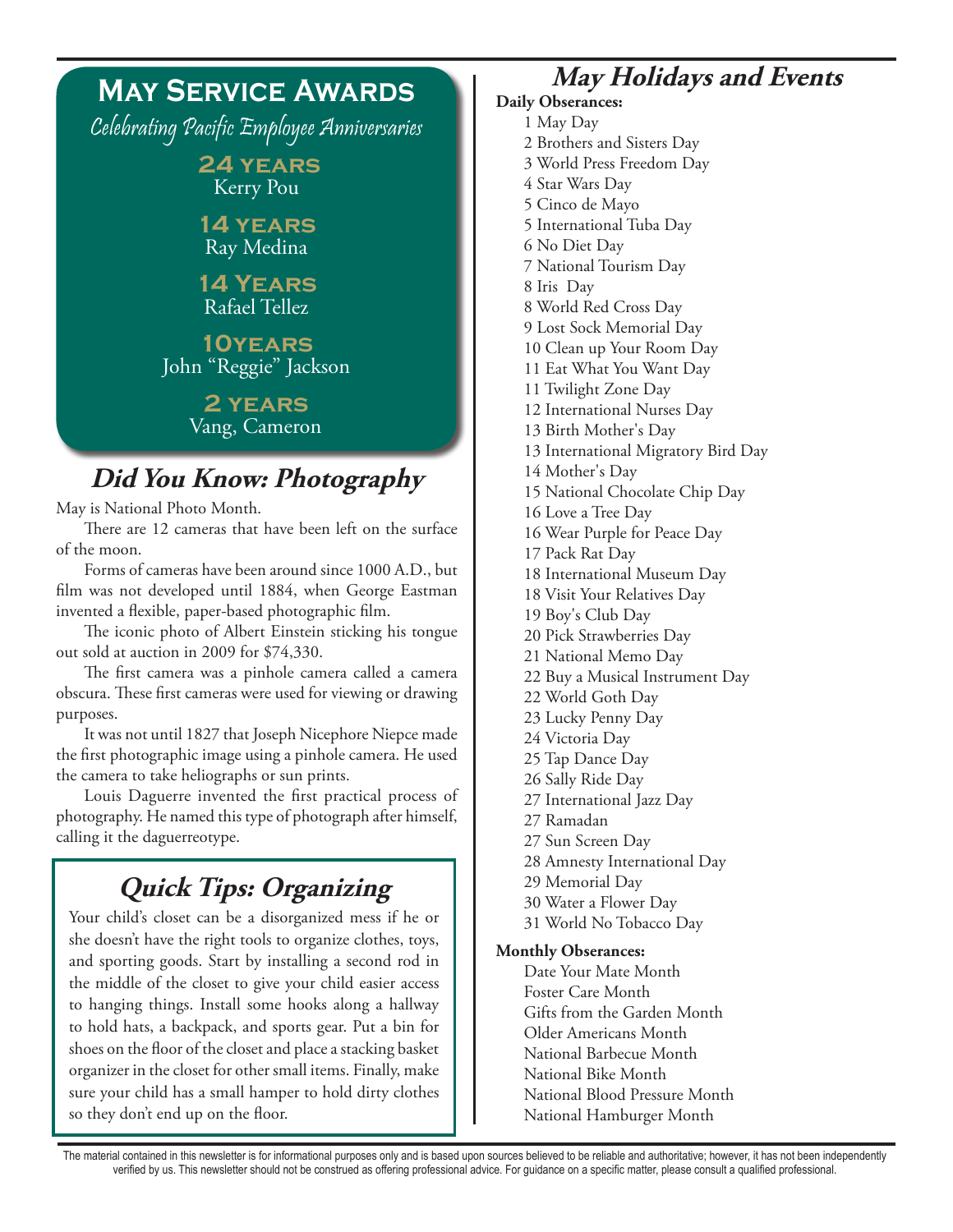### **May Service Awards** Celebrating Pacific Employee Anniversaries  **24 years** Kerry Pou **14 years** Ray Medina **14 Years** Rafael Tellez **10years** John "Reggie" Jackson **2 years** Vang, Cameron **Did You Know: Photography** May is National Photo Month. There are 12 cameras that have been left on the surface of the moon. Forms of cameras have been around since 1000 A.D., but film was not developed until 1884, when George Eastman invented a flexible, paper-based photographic film. The iconic photo of Albert Einstein sticking his tongue out sold at auction in 2009 for \$74,330.

The first camera was a pinhole camera called a camera obscura. These first cameras were used for viewing or drawing purposes.

It was not until 1827 that Joseph Nicephore Niepce made the first photographic image using a pinhole camera. He used the camera to take heliographs or sun prints.

Louis Daguerre invented the first practical process of photography. He named this type of photograph after himself, calling it the daguerreotype.

## **Quick Tips: Organizing**

Your child's closet can be a disorganized mess if he or she doesn't have the right tools to organize clothes, toys, and sporting goods. Start by installing a second rod in the middle of the closet to give your child easier access to hanging things. Install some hooks along a hallway to hold hats, a backpack, and sports gear. Put a bin for shoes on the floor of the closet and place a stacking basket organizer in the closet for other small items. Finally, make sure your child has a small hamper to hold dirty clothes so they don't end up on the floor.

### **May Holidays and Events**

#### **Daily Obserances:** 1 May Day

- 2 Brothers and Sisters Day
- 3 World Press Freedom Day
- 4 Star Wars Day
- 5 Cinco de Mayo
- 5 International Tuba Day
- 6 No Diet Day
- 7 National Tourism Day
- 8 Iris Day
- 8 World Red Cross Day
- 9 Lost Sock Memorial Day
- 10 Clean up Your Room Day
- 11 Eat What You Want Day
- 11 Twilight Zone Day
- 12 International Nurses Day
- 13 Birth Mother's Day
- 13 International Migratory Bird Day
- 14 Mother's Day
- 15 National Chocolate Chip Day
- 16 Love a Tree Day
- 16 Wear Purple for Peace Day
- 17 Pack Rat Day
- 18 International Museum Day
- 18 Visit Your Relatives Day
- 19 Boy's Club Day
- 20 Pick Strawberries Day 21 National Memo Day
- 22 Buy a Musical Instrument Day
- 22 World Goth Day
- 23 Lucky Penny Day
- 24 Victoria Day
- 25 Tap Dance Day
- 26 Sally Ride Day
- 27 International Jazz Day
- 27 Ramadan
- 27 Sun Screen Day
- 28 Amnesty International Day
- 29 Memorial Day
- 30 Water a Flower Day
- 31 World No Tobacco Day

#### **Monthly Obserances:**

Date Your Mate Month Foster Care Month Gifts from the Garden Month Older Americans Month National Barbecue Month National Bike Month National Blood Pressure Month National Hamburger Month

The material contained in this newsletter is for informational purposes only and is based upon sources believed to be reliable and authoritative; however, it has not been independently verified by us. This newsletter should not be construed as offering professional advice. For guidance on a specific matter, please consult a qualified professional.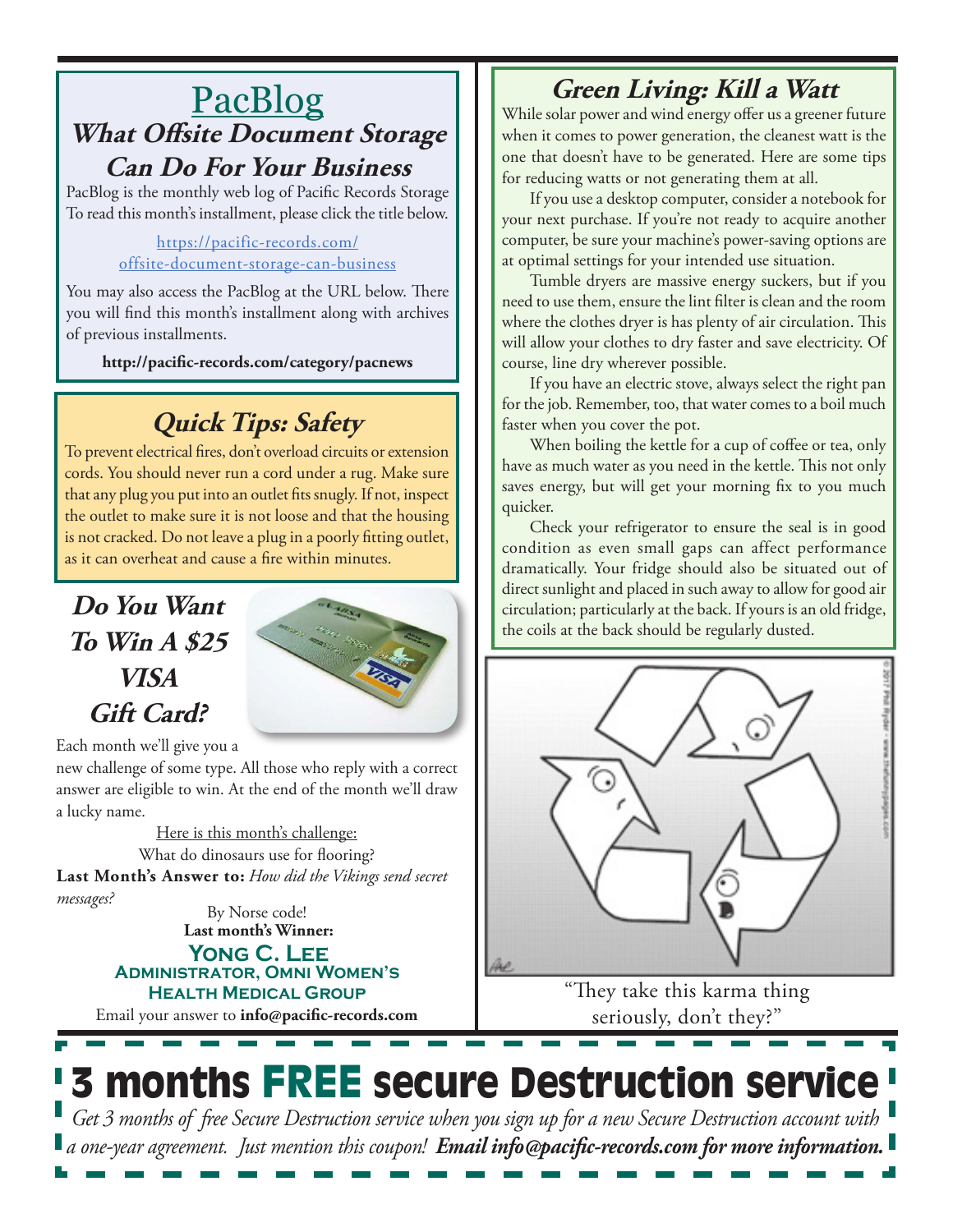## **PacBlog What Offsite Document Storage Can Do For Your Business**

PacBlog is the monthly web log of Pacific Records Storage To read this month's installment, please click the title below.

#### https://pacific-records.com/ offsite-document-storage-can-business

You may also access the PacBlog at the URL below. There you will find this month's installment along with archives of previous installments.

**http://pacific-records.com/category/pacnews**

## **Quick Tips: Safety**

To prevent electrical fires, don't overload circuits or extension cords. You should never run a cord under a rug. Make sure that any plug you put into an outlet fits snugly. If not, inspect the outlet to make sure it is not loose and that the housing is not cracked. Do not leave a plug in a poorly fitting outlet, as it can overheat and cause a fire within minutes.

## **Do You Want To Win A \$25 VISA Gift Card?**



Each month we'll give you a

new challenge of some type. All those who reply with a correct answer are eligible to win. At the end of the month we'll draw a lucky name.

Here is this month's challenge: **Last Month's Answer to:** *How did the Vikings send secret messages?* What do dinosaurs use for flooring?

**Last month's Winner:** By Norse code!

#### **Yong C. Lee Administrator, Omni Women's Health Medical Group**

Email your answer to **info@pacific-records.com**

## **Green Living: Kill a Watt**

While solar power and wind energy offer us a greener future when it comes to power generation, the cleanest watt is the one that doesn't have to be generated. Here are some tips for reducing watts or not generating them at all.

If you use a desktop computer, consider a notebook for your next purchase. If you're not ready to acquire another computer, be sure your machine's power-saving options are at optimal settings for your intended use situation.

Tumble dryers are massive energy suckers, but if you need to use them, ensure the lint filter is clean and the room where the clothes dryer is has plenty of air circulation. This will allow your clothes to dry faster and save electricity. Of course, line dry wherever possible.

If you have an electric stove, always select the right pan for the job. Remember, too, that water comes to a boil much faster when you cover the pot.

When boiling the kettle for a cup of coffee or tea, only have as much water as you need in the kettle. This not only saves energy, but will get your morning fix to you much quicker.

Check your refrigerator to ensure the seal is in good condition as even small gaps can affect performance dramatically. Your fridge should also be situated out of direct sunlight and placed in such away to allow for good air circulation; particularly at the back. If yours is an old fridge, the coils at the back should be regularly dusted.



"They take this karma thing seriously, don't they?"

# **3 months FREE secure Destruction service**

*Get 3 months of free Secure Destruction service when you sign up for a new Secure Destruction account with a one-year agreement. Just mention this coupon! Email info@pacific-records.com for more information.*